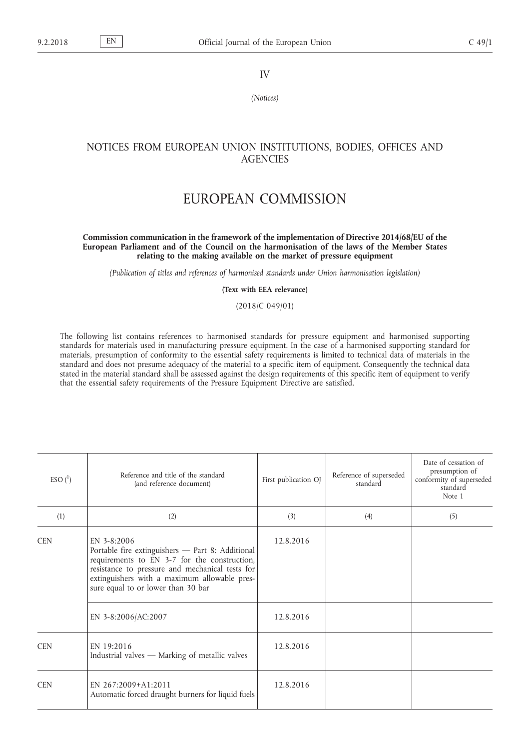IV

*(Notices)*

## NOTICES FROM EUROPEAN UNION INSTITUTIONS, BODIES, OFFICES AND **AGENCIES**

## EUROPEAN COMMISSION

## **Commission communication in the framework of the implementation of Directive 2014/68/EU of the European Parliament and of the Council on the harmonisation of the laws of the Member States relating to the making available on the market of pressure equipment**

*(Publication of titles and references of harmonised standards under Union harmonisation legislation)*

**(Text with EEA relevance)**

(2018/C 049/01)

The following list contains references to harmonised standards for pressure equipment and harmonised supporting standards for materials used in manufacturing pressure equipment. In the case of a harmonised supporting standard for materials, presumption of conformity to the essential safety requirements is limited to technical data of materials in the standard and does not presume adequacy of the material to a specific item of equipment. Consequently the technical data stated in the material standard shall be assessed against the design requirements of this specific item of equipment to verify that the essential safety requirements of the Pressure Equipment Directive are satisfied.

| $ESO{1}$   | Reference and title of the standard<br>(and reference document)                                                                                                                                                                                            | First publication OJ | Reference of superseded<br>standard | Date of cessation of<br>presumption of<br>conformity of superseded<br>standard<br>Note 1 |
|------------|------------------------------------------------------------------------------------------------------------------------------------------------------------------------------------------------------------------------------------------------------------|----------------------|-------------------------------------|------------------------------------------------------------------------------------------|
| (1)        | (2)                                                                                                                                                                                                                                                        | (3)                  | (4)                                 | (5)                                                                                      |
| <b>CEN</b> | EN $3-8:2006$<br>Portable fire extinguishers - Part 8: Additional<br>requirements to EN 3-7 for the construction,<br>resistance to pressure and mechanical tests for<br>extinguishers with a maximum allowable pres-<br>sure equal to or lower than 30 bar | 12.8.2016            |                                     |                                                                                          |
|            | EN 3-8:2006/AC:2007                                                                                                                                                                                                                                        | 12.8.2016            |                                     |                                                                                          |
| <b>CEN</b> | EN 19:2016<br>Industrial valves — Marking of metallic valves                                                                                                                                                                                               | 12.8.2016            |                                     |                                                                                          |
| <b>CEN</b> | EN $267:2009+A1:2011$<br>Automatic forced draught burners for liquid fuels                                                                                                                                                                                 | 12.8.2016            |                                     |                                                                                          |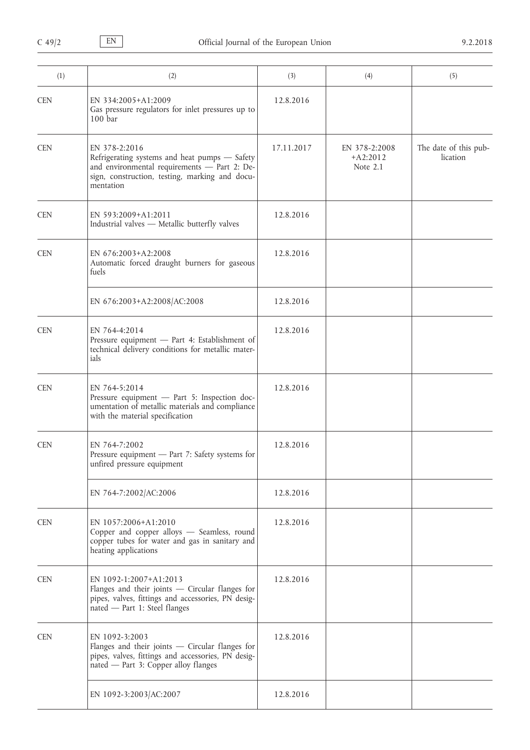| (1)        | (2)                                                                                                                                                                           | (3)        | (4)                                     | (5)                               |
|------------|-------------------------------------------------------------------------------------------------------------------------------------------------------------------------------|------------|-----------------------------------------|-----------------------------------|
| <b>CEN</b> | EN 334:2005+A1:2009<br>Gas pressure regulators for inlet pressures up to<br>100 <sub>bar</sub>                                                                                | 12.8.2016  |                                         |                                   |
| <b>CEN</b> | EN 378-2:2016<br>Refrigerating systems and heat pumps - Safety<br>and environmental requirements - Part 2: De-<br>sign, construction, testing, marking and docu-<br>mentation | 17.11.2017 | EN 378-2:2008<br>$+A2:2012$<br>Note 2.1 | The date of this pub-<br>lication |
| <b>CEN</b> | EN 593:2009+A1:2011<br>Industrial valves - Metallic butterfly valves                                                                                                          | 12.8.2016  |                                         |                                   |
| <b>CEN</b> | EN 676:2003+A2:2008<br>Automatic forced draught burners for gaseous<br>fuels                                                                                                  | 12.8.2016  |                                         |                                   |
|            | EN 676:2003+A2:2008/AC:2008                                                                                                                                                   | 12.8.2016  |                                         |                                   |
| <b>CEN</b> | EN 764-4:2014<br>Pressure equipment - Part 4: Establishment of<br>technical delivery conditions for metallic mater-<br>ials                                                   | 12.8.2016  |                                         |                                   |
| <b>CEN</b> | EN 764-5:2014<br>Pressure equipment - Part 5: Inspection doc-<br>umentation of metallic materials and compliance<br>with the material specification                           | 12.8.2016  |                                         |                                   |
| <b>CEN</b> | EN 764-7:2002<br>Pressure equipment - Part 7: Safety systems for<br>unfired pressure equipment                                                                                | 12.8.2016  |                                         |                                   |
|            | EN 764-7:2002/AC:2006                                                                                                                                                         | 12.8.2016  |                                         |                                   |
| <b>CEN</b> | EN 1057:2006+A1:2010<br>Copper and copper alloys - Seamless, round<br>copper tubes for water and gas in sanitary and<br>heating applications                                  | 12.8.2016  |                                         |                                   |
| <b>CEN</b> | EN 1092-1:2007+A1:2013<br>Flanges and their joints - Circular flanges for<br>pipes, valves, fittings and accessories, PN desig-<br>nated - Part 1: Steel flanges              | 12.8.2016  |                                         |                                   |
| <b>CEN</b> | EN 1092-3:2003<br>Flanges and their joints - Circular flanges for<br>pipes, valves, fittings and accessories, PN desig-<br>nated - Part 3: Copper alloy flanges               | 12.8.2016  |                                         |                                   |
|            | EN 1092-3:2003/AC:2007                                                                                                                                                        | 12.8.2016  |                                         |                                   |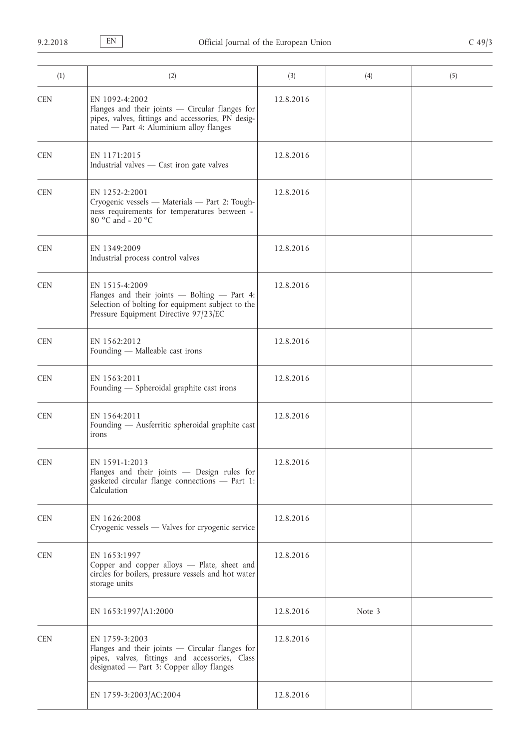| (1)        | (2)                                                                                                                                                                  | (3)       | (4)    | (5) |
|------------|----------------------------------------------------------------------------------------------------------------------------------------------------------------------|-----------|--------|-----|
| <b>CEN</b> | EN 1092-4:2002<br>Flanges and their joints $-$ Circular flanges for<br>pipes, valves, fittings and accessories, PN desig-<br>nated - Part 4: Aluminium alloy flanges | 12.8.2016 |        |     |
| <b>CEN</b> | EN 1171:2015<br>Industrial valves - Cast iron gate valves                                                                                                            | 12.8.2016 |        |     |
| <b>CEN</b> | EN 1252-2:2001<br>Cryogenic vessels - Materials - Part 2: Tough-<br>ness requirements for temperatures between -<br>80 °C and - 20 °C                                | 12.8.2016 |        |     |
| <b>CEN</b> | EN 1349:2009<br>Industrial process control valves                                                                                                                    | 12.8.2016 |        |     |
| <b>CEN</b> | EN 1515-4:2009<br>Flanges and their joints - Bolting - Part 4:<br>Selection of bolting for equipment subject to the<br>Pressure Equipment Directive 97/23/EC         | 12.8.2016 |        |     |
| <b>CEN</b> | EN 1562:2012<br>Founding - Malleable cast irons                                                                                                                      | 12.8.2016 |        |     |
| <b>CEN</b> | EN 1563:2011<br>Founding - Spheroidal graphite cast irons                                                                                                            | 12.8.2016 |        |     |
| <b>CEN</b> | EN 1564:2011<br>Founding - Ausferritic spheroidal graphite cast<br>irons                                                                                             | 12.8.2016 |        |     |
| <b>CEN</b> | EN 1591-1:2013<br>Flanges and their joints - Design rules for<br>gasketed circular flange connections - Part 1:<br>Calculation                                       | 12.8.2016 |        |     |
| <b>CEN</b> | EN 1626:2008<br>Cryogenic vessels - Valves for cryogenic service                                                                                                     | 12.8.2016 |        |     |
| <b>CEN</b> | EN 1653:1997<br>Copper and copper alloys - Plate, sheet and<br>circles for boilers, pressure vessels and hot water<br>storage units                                  | 12.8.2016 |        |     |
|            | EN 1653:1997/A1:2000                                                                                                                                                 | 12.8.2016 | Note 3 |     |
| <b>CEN</b> | EN 1759-3:2003<br>Flanges and their joints - Circular flanges for<br>pipes, valves, fittings and accessories, Class<br>designated - Part 3: Copper alloy flanges     | 12.8.2016 |        |     |
|            | EN 1759-3:2003/AC:2004                                                                                                                                               | 12.8.2016 |        |     |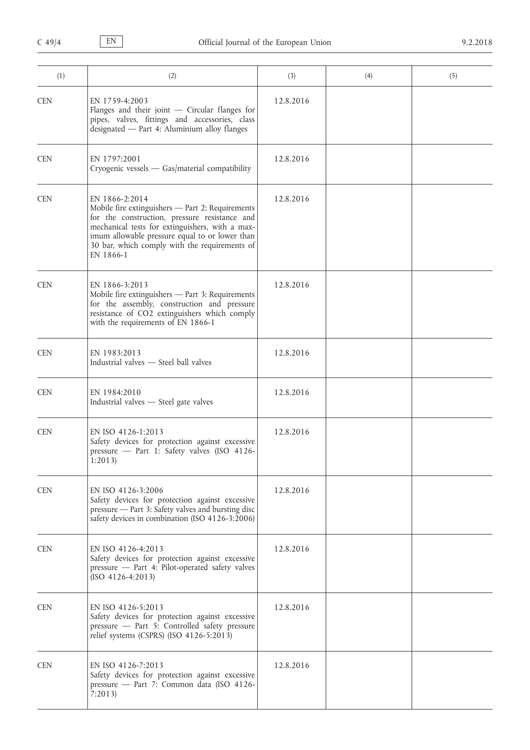| (1)        | (2)                                                                                                                                                                                                                                                                                    | (3)       | (4) | (5) |
|------------|----------------------------------------------------------------------------------------------------------------------------------------------------------------------------------------------------------------------------------------------------------------------------------------|-----------|-----|-----|
| <b>CEN</b> | EN 1759-4:2003<br>Flanges and their joint $-$ Circular flanges for<br>pipes, valves, fittings and accessories, class<br>designated - Part 4: Aluminium alloy flanges                                                                                                                   | 12.8.2016 |     |     |
| <b>CEN</b> | EN 1797:2001<br>Cryogenic vessels - Gas/material compatibility                                                                                                                                                                                                                         | 12.8.2016 |     |     |
| <b>CEN</b> | EN 1866-2:2014<br>Mobile fire extinguishers - Part 2: Requirements<br>for the construction, pressure resistance and<br>mechanical tests for extinguishers, with a max-<br>imum allowable pressure equal to or lower than<br>30 bar, which comply with the requirements of<br>EN 1866-1 | 12.8.2016 |     |     |
| <b>CEN</b> | EN 1866-3:2013<br>Mobile fire extinguishers - Part 3: Requirements<br>for the assembly, construction and pressure<br>resistance of CO2 extinguishers which comply<br>with the requirements of EN 1866-1                                                                                | 12.8.2016 |     |     |
| <b>CEN</b> | EN 1983:2013<br>Industrial valves - Steel ball valves                                                                                                                                                                                                                                  | 12.8.2016 |     |     |
| <b>CEN</b> | EN 1984:2010<br>Industrial valves - Steel gate valves                                                                                                                                                                                                                                  | 12.8.2016 |     |     |
| <b>CEN</b> | EN ISO 4126-1:2013<br>Safety devices for protection against excessive<br>pressure - Part 1: Safety valves (ISO 4126-<br>1:2013                                                                                                                                                         | 12.8.2016 |     |     |
| <b>CEN</b> | EN ISO 4126-3:2006<br>Safety devices for protection against excessive<br>pressure - Part 3: Safety valves and bursting disc<br>safety devices in combination (ISO 4126-3:2006)                                                                                                         | 12.8.2016 |     |     |
| <b>CEN</b> | EN ISO 4126-4:2013<br>Safety devices for protection against excessive<br>pressure - Part 4: Pilot-operated safety valves<br>$(ISO 4126-4:2013)$                                                                                                                                        | 12.8.2016 |     |     |
| <b>CEN</b> | EN ISO 4126-5:2013<br>Safety devices for protection against excessive<br>pressure - Part 5: Controlled safety pressure<br>relief systems (CSPRS) (ISO 4126-5:2013)                                                                                                                     | 12.8.2016 |     |     |
| <b>CEN</b> | EN ISO 4126-7:2013<br>Safety devices for protection against excessive<br>pressure - Part 7: Common data (ISO 4126-<br>7:2013                                                                                                                                                           | 12.8.2016 |     |     |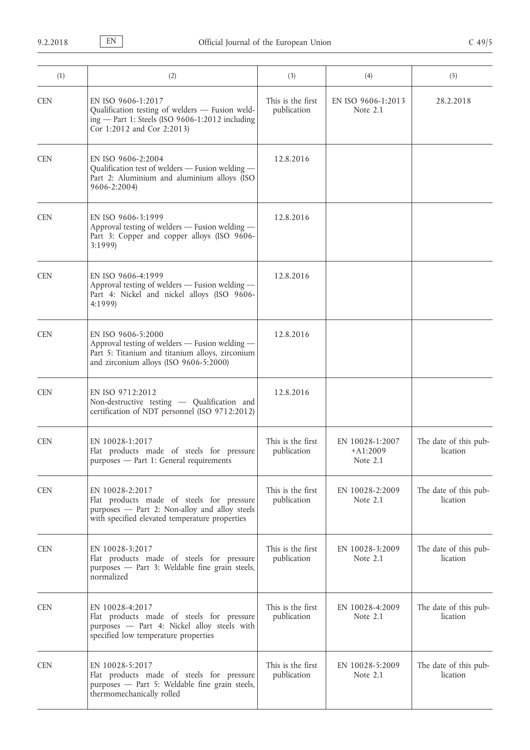| (1)        | (2)                                                                                                                                                               | (3)                              | (4)                                       | (5)                               |
|------------|-------------------------------------------------------------------------------------------------------------------------------------------------------------------|----------------------------------|-------------------------------------------|-----------------------------------|
| <b>CEN</b> | EN ISO 9606-1:2017<br>Qualification testing of welders - Fusion weld-<br>ing - Part 1: Steels (ISO 9606-1:2012 including<br>Cor 1:2012 and Cor 2:2013)            | This is the first<br>publication | EN ISO 9606-1:2013<br>Note $2.1$          | 28.2.2018                         |
| <b>CEN</b> | EN ISO 9606-2:2004<br>Qualification test of welders - Fusion welding -<br>Part 2: Aluminium and aluminium alloys (ISO<br>9606-2:2004)                             | 12.8.2016                        |                                           |                                   |
| <b>CEN</b> | EN ISO 9606-3:1999<br>Approval testing of welders - Fusion welding -<br>Part 3: Copper and copper alloys (ISO 9606-<br>3:1999                                     | 12.8.2016                        |                                           |                                   |
| <b>CEN</b> | EN ISO 9606-4:1999<br>Approval testing of welders - Fusion welding -<br>Part 4: Nickel and nickel alloys (ISO 9606-<br>4:1999)                                    | 12.8.2016                        |                                           |                                   |
| <b>CEN</b> | EN ISO 9606-5:2000<br>Approval testing of welders - Fusion welding -<br>Part 5: Titanium and titanium alloys, zirconium<br>and zirconium alloys (ISO 9606-5:2000) | 12.8.2016                        |                                           |                                   |
| <b>CEN</b> | EN ISO 9712:2012<br>Non-destructive testing - Qualification and<br>certification of NDT personnel (ISO 9712:2012)                                                 | 12.8.2016                        |                                           |                                   |
| <b>CEN</b> | EN 10028-1:2017<br>Flat products made of steels for pressure<br>purposes - Part 1: General requirements                                                           | This is the first<br>publication | EN 10028-1:2007<br>$+A1:2009$<br>Note 2.1 | The date of this pub-<br>lication |
| <b>CEN</b> | EN 10028-2:2017<br>Flat products made of steels for pressure<br>purposes - Part 2: Non-alloy and alloy steels<br>with specified elevated temperature properties   | This is the first<br>publication | EN 10028-2:2009<br>Note $2.1$             | The date of this pub-<br>lication |
| <b>CEN</b> | EN 10028-3:2017<br>Flat products made of steels for pressure<br>purposes - Part 3: Weldable fine grain steels,<br>normalized                                      | This is the first<br>publication | EN 10028-3:2009<br>Note $2.1$             | The date of this pub-<br>lication |
| <b>CEN</b> | EN 10028-4:2017<br>Flat products made of steels for pressure<br>purposes - Part 4: Nickel alloy steels with<br>specified low temperature properties               | This is the first<br>publication | EN 10028-4:2009<br>Note $2.1$             | The date of this pub-<br>lication |
| <b>CEN</b> | EN 10028-5:2017<br>Flat products made of steels for pressure<br>purposes - Part 5: Weldable fine grain steels,<br>thermomechanically rolled                       | This is the first<br>publication | EN 10028-5:2009<br>Note $2.1$             | The date of this pub-<br>lication |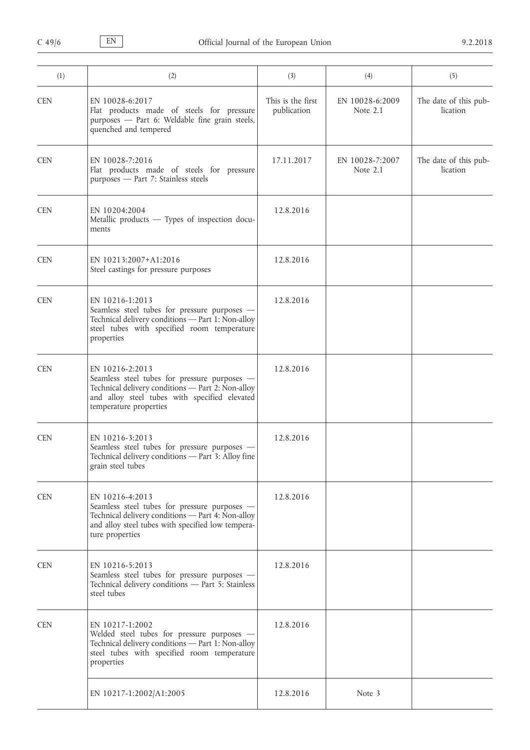| (1)        | (2)                                                                                                                                                                                             | (3)                              | (4)                           | (5)                               |
|------------|-------------------------------------------------------------------------------------------------------------------------------------------------------------------------------------------------|----------------------------------|-------------------------------|-----------------------------------|
| <b>CEN</b> | EN 10028-6:2017<br>Flat products made of steels for pressure<br>purposes - Part 6: Weldable fine grain steels,<br>quenched and tempered                                                         | This is the first<br>publication | EN 10028-6:2009<br>Note 2.1   | The date of this pub-<br>lication |
| <b>CEN</b> | EN 10028-7:2016<br>Flat products made of steels for pressure<br>purposes - Part 7: Stainless steels                                                                                             | 17.11.2017                       | EN 10028-7:2007<br>Note $2.1$ | The date of this pub-<br>lication |
| <b>CEN</b> | EN 10204:2004<br>Metallic products - Types of inspection docu-<br>ments                                                                                                                         | 12.8.2016                        |                               |                                   |
| <b>CEN</b> | EN 10213:2007+A1:2016<br>Steel castings for pressure purposes                                                                                                                                   | 12.8.2016                        |                               |                                   |
| <b>CEN</b> | EN 10216-1:2013<br>Seamless steel tubes for pressure purposes -<br>Technical delivery conditions - Part 1: Non-alloy<br>steel tubes with specified room temperature<br>properties               | 12.8.2016                        |                               |                                   |
| <b>CEN</b> | EN 10216-2:2013<br>Seamless steel tubes for pressure purposes -<br>Technical delivery conditions - Part 2: Non-alloy<br>and alloy steel tubes with specified elevated<br>temperature properties | 12.8.2016                        |                               |                                   |
| <b>CEN</b> | EN 10216-3:2013<br>Seamless steel tubes for pressure purposes -<br>Technical delivery conditions - Part 3: Alloy fine<br>grain steel tubes                                                      | 12.8.2016                        |                               |                                   |
| <b>CEN</b> | EN 10216-4:2013<br>Seamless steel tubes for pressure purposes -<br>Technical delivery conditions - Part 4: Non-alloy<br>and alloy steel tubes with specified low tempera-<br>ture properties    | 12.8.2016                        |                               |                                   |
| <b>CEN</b> | EN 10216-5:2013<br>Seamless steel tubes for pressure purposes -<br>Technical delivery conditions - Part 5: Stainless<br>steel tubes                                                             | 12.8.2016                        |                               |                                   |
| <b>CEN</b> | EN 10217-1:2002<br>Welded steel tubes for pressure purposes -<br>Technical delivery conditions - Part 1: Non-alloy<br>steel tubes with specified room temperature<br>properties                 | 12.8.2016                        |                               |                                   |
|            | EN 10217-1:2002/A1:2005                                                                                                                                                                         | 12.8.2016                        | Note 3                        |                                   |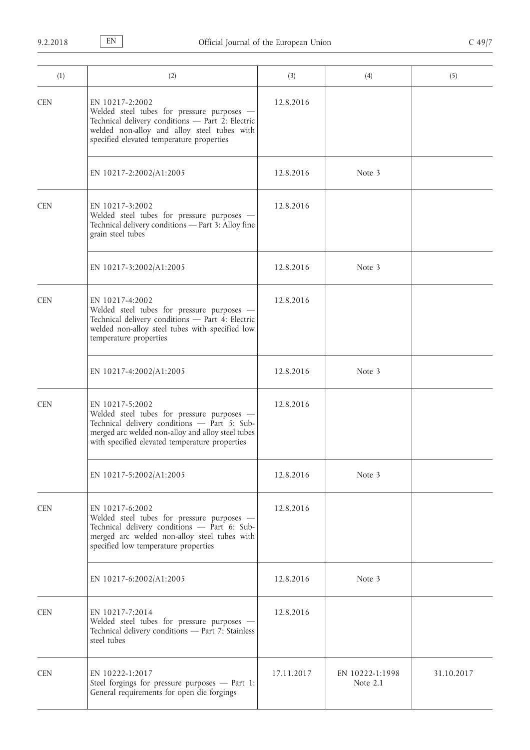| (1)        | (2)                                                                                                                                                                                                                  | (3)        | (4)                         | (5)        |
|------------|----------------------------------------------------------------------------------------------------------------------------------------------------------------------------------------------------------------------|------------|-----------------------------|------------|
| <b>CEN</b> | EN 10217-2:2002<br>Welded steel tubes for pressure purposes -<br>Technical delivery conditions - Part 2: Electric<br>welded non-alloy and alloy steel tubes with<br>specified elevated temperature properties        | 12.8.2016  |                             |            |
|            | EN 10217-2:2002/A1:2005                                                                                                                                                                                              | 12.8.2016  | Note 3                      |            |
| <b>CEN</b> | EN 10217-3:2002<br>Welded steel tubes for pressure purposes -<br>Technical delivery conditions - Part 3: Alloy fine<br>grain steel tubes                                                                             | 12.8.2016  |                             |            |
|            | EN 10217-3:2002/A1:2005                                                                                                                                                                                              | 12.8.2016  | Note 3                      |            |
| <b>CEN</b> | EN 10217-4:2002<br>Welded steel tubes for pressure purposes -<br>Technical delivery conditions - Part 4: Electric<br>welded non-alloy steel tubes with specified low<br>temperature properties                       | 12.8.2016  |                             |            |
|            | EN 10217-4:2002/A1:2005                                                                                                                                                                                              | 12.8.2016  | Note 3                      |            |
| <b>CEN</b> | EN 10217-5:2002<br>Welded steel tubes for pressure purposes -<br>Technical delivery conditions - Part 5: Sub-<br>merged arc welded non-alloy and alloy steel tubes<br>with specified elevated temperature properties | 12.8.2016  |                             |            |
|            | EN 10217-5:2002/A1:2005                                                                                                                                                                                              | 12.8.2016  | Note 3                      |            |
| <b>CEN</b> | EN 10217-6:2002<br>Welded steel tubes for pressure purposes -<br>Technical delivery conditions - Part 6: Sub-<br>merged arc welded non-alloy steel tubes with<br>specified low temperature properties                | 12.8.2016  |                             |            |
|            | EN 10217-6:2002/A1:2005                                                                                                                                                                                              | 12.8.2016  | Note 3                      |            |
| <b>CEN</b> | EN 10217-7:2014<br>Welded steel tubes for pressure purposes -<br>Technical delivery conditions - Part 7: Stainless<br>steel tubes                                                                                    | 12.8.2016  |                             |            |
| <b>CEN</b> | EN 10222-1:2017<br>Steel forgings for pressure purposes - Part 1:<br>General requirements for open die forgings                                                                                                      | 17.11.2017 | EN 10222-1:1998<br>Note 2.1 | 31.10.2017 |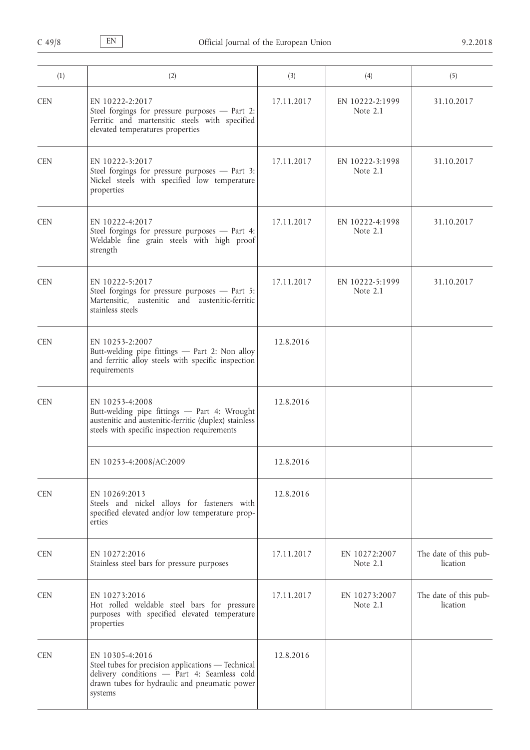| (1)        | (2)                                                                                                                                                                              | (3)        | (4)                           | (5)                               |
|------------|----------------------------------------------------------------------------------------------------------------------------------------------------------------------------------|------------|-------------------------------|-----------------------------------|
| <b>CEN</b> | EN 10222-2:2017<br>Steel forgings for pressure purposes - Part 2:<br>Ferritic and martensitic steels with specified<br>elevated temperatures properties                          | 17.11.2017 | EN 10222-2:1999<br>Note 2.1   | 31.10.2017                        |
| <b>CEN</b> | EN 10222-3:2017<br>Steel forgings for pressure purposes - Part 3:<br>Nickel steels with specified low temperature<br>properties                                                  | 17.11.2017 | EN 10222-3:1998<br>Note 2.1   | 31.10.2017                        |
| <b>CEN</b> | EN 10222-4:2017<br>Steel forgings for pressure purposes - Part 4:<br>Weldable fine grain steels with high proof<br>strength                                                      | 17.11.2017 | EN 10222-4:1998<br>Note $2.1$ | 31.10.2017                        |
| <b>CEN</b> | EN 10222-5:2017<br>Steel forgings for pressure purposes - Part 5:<br>Martensitic, austenitic and austenitic-ferritic<br>stainless steels                                         | 17.11.2017 | EN 10222-5:1999<br>Note 2.1   | 31.10.2017                        |
| <b>CEN</b> | EN 10253-2:2007<br>Butt-welding pipe fittings - Part 2: Non alloy<br>and ferritic alloy steels with specific inspection<br>requirements                                          | 12.8.2016  |                               |                                   |
| <b>CEN</b> | EN 10253-4:2008<br>Butt-welding pipe fittings - Part 4: Wrought<br>austenitic and austenitic-ferritic (duplex) stainless<br>steels with specific inspection requirements         | 12.8.2016  |                               |                                   |
|            | EN 10253-4:2008/AC:2009                                                                                                                                                          | 12.8.2016  |                               |                                   |
| <b>CEN</b> | EN 10269:2013<br>Steels and nickel alloys for fasteners with<br>specified elevated and/or low temperature prop-<br>erties                                                        | 12.8.2016  |                               |                                   |
| <b>CEN</b> | EN 10272:2016<br>Stainless steel bars for pressure purposes                                                                                                                      | 17.11.2017 | EN 10272:2007<br>Note $2.1$   | The date of this pub-<br>lication |
| <b>CEN</b> | EN 10273:2016<br>Hot rolled weldable steel bars for pressure<br>purposes with specified elevated temperature<br>properties                                                       | 17.11.2017 | EN 10273:2007<br>Note 2.1     | The date of this pub-<br>lication |
| <b>CEN</b> | EN 10305-4:2016<br>Steel tubes for precision applications - Technical<br>delivery conditions - Part 4: Seamless cold<br>drawn tubes for hydraulic and pneumatic power<br>systems | 12.8.2016  |                               |                                   |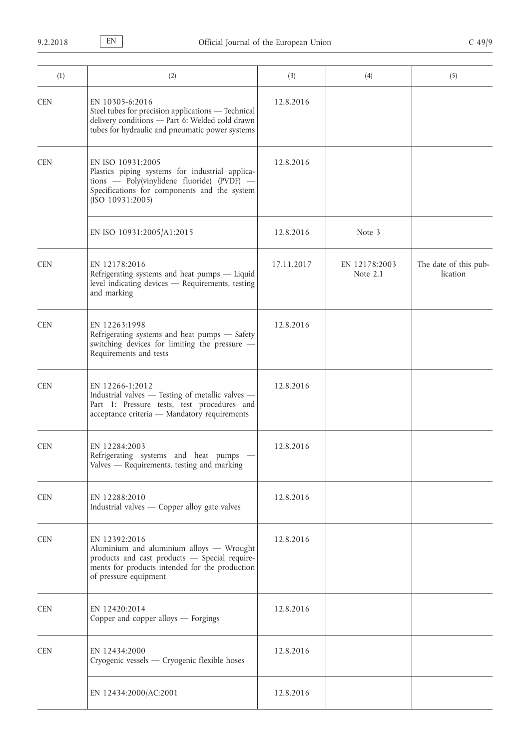| (1)        | (2)                                                                                                                                                                                    | (3)        | (4)                       | (5)                               |
|------------|----------------------------------------------------------------------------------------------------------------------------------------------------------------------------------------|------------|---------------------------|-----------------------------------|
| <b>CEN</b> | EN 10305-6:2016<br>Steel tubes for precision applications - Technical<br>delivery conditions - Part 6: Welded cold drawn<br>tubes for hydraulic and pneumatic power systems            | 12.8.2016  |                           |                                   |
| <b>CEN</b> | EN ISO 10931:2005<br>Plastics piping systems for industrial applica-<br>tions — Poly(vinylidene fluoride) (PVDF) —<br>Specifications for components and the system<br>(ISO 10931:2005) | 12.8.2016  |                           |                                   |
|            | EN ISO 10931:2005/A1:2015                                                                                                                                                              | 12.8.2016  | Note 3                    |                                   |
| <b>CEN</b> | EN 12178:2016<br>Refrigerating systems and heat pumps - Liquid<br>level indicating devices - Requirements, testing<br>and marking                                                      | 17.11.2017 | EN 12178:2003<br>Note 2.1 | The date of this pub-<br>lication |
| <b>CEN</b> | EN 12263:1998<br>Refrigerating systems and heat pumps - Safety<br>switching devices for limiting the pressure -<br>Requirements and tests                                              | 12.8.2016  |                           |                                   |
| <b>CEN</b> | EN 12266-1:2012<br>Industrial valves - Testing of metallic valves -<br>Part 1: Pressure tests, test procedures and<br>acceptance criteria - Mandatory requirements                     | 12.8.2016  |                           |                                   |
| <b>CEN</b> | EN 12284:2003<br>Refrigerating systems and heat pumps<br>Valves - Requirements, testing and marking                                                                                    | 12.8.2016  |                           |                                   |
| <b>CEN</b> | EN 12288:2010<br>Industrial valves - Copper alloy gate valves                                                                                                                          | 12.8.2016  |                           |                                   |
| <b>CEN</b> | EN 12392:2016<br>Aluminium and aluminium alloys - Wrought<br>products and cast products - Special require-<br>ments for products intended for the production<br>of pressure equipment  | 12.8.2016  |                           |                                   |
| <b>CEN</b> | EN 12420:2014<br>Copper and copper alloys - Forgings                                                                                                                                   | 12.8.2016  |                           |                                   |
| <b>CEN</b> | EN 12434:2000<br>Cryogenic vessels - Cryogenic flexible hoses                                                                                                                          | 12.8.2016  |                           |                                   |
|            | EN 12434:2000/AC:2001                                                                                                                                                                  | 12.8.2016  |                           |                                   |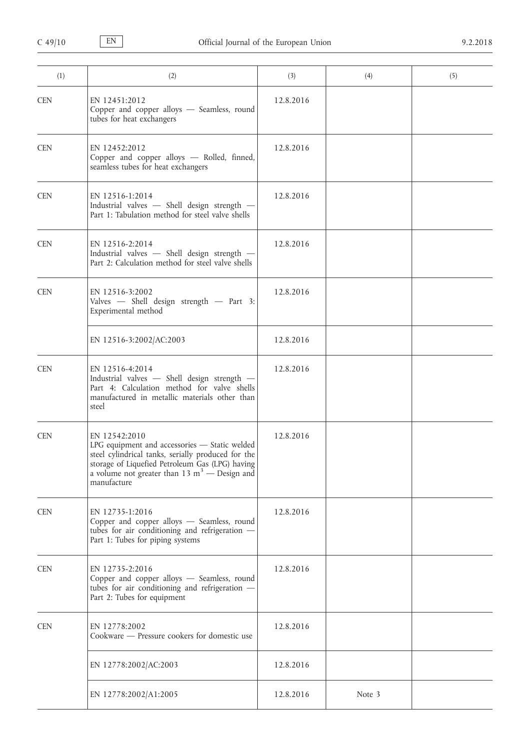| (1)        | (2)                                                                                                                                                                                                                                                  | (3)       | (4)    | (5) |
|------------|------------------------------------------------------------------------------------------------------------------------------------------------------------------------------------------------------------------------------------------------------|-----------|--------|-----|
| <b>CEN</b> | EN 12451:2012<br>Copper and copper alloys - Seamless, round<br>tubes for heat exchangers                                                                                                                                                             | 12.8.2016 |        |     |
| <b>CEN</b> | EN 12452:2012<br>Copper and copper alloys - Rolled, finned,<br>seamless tubes for heat exchangers                                                                                                                                                    | 12.8.2016 |        |     |
| <b>CEN</b> | EN 12516-1:2014<br>Industrial valves - Shell design strength -<br>Part 1: Tabulation method for steel valve shells                                                                                                                                   | 12.8.2016 |        |     |
| <b>CEN</b> | EN 12516-2:2014<br>Industrial valves - Shell design strength -<br>Part 2: Calculation method for steel valve shells                                                                                                                                  | 12.8.2016 |        |     |
| <b>CEN</b> | EN 12516-3:2002<br>Valves - Shell design strength - Part 3:<br>Experimental method                                                                                                                                                                   | 12.8.2016 |        |     |
|            | EN 12516-3:2002/AC:2003                                                                                                                                                                                                                              | 12.8.2016 |        |     |
| <b>CEN</b> | EN 12516-4:2014<br>Industrial valves - Shell design strength -<br>Part 4: Calculation method for valve shells<br>manufactured in metallic materials other than<br>steel                                                                              | 12.8.2016 |        |     |
| <b>CEN</b> | EN 12542:2010<br>LPG equipment and accessories - Static welded<br>steel cylindrical tanks, serially produced for the<br>storage of Liquefied Petroleum Gas (LPG) having<br>a volume not greater than 13 m <sup>3</sup> $-$ Design and<br>manufacture | 12.8.2016 |        |     |
| <b>CEN</b> | EN 12735-1:2016<br>Copper and copper alloys - Seamless, round<br>tubes for air conditioning and refrigeration -<br>Part 1: Tubes for piping systems                                                                                                  | 12.8.2016 |        |     |
| <b>CEN</b> | EN 12735-2:2016<br>Copper and copper alloys - Seamless, round<br>tubes for air conditioning and refrigeration -<br>Part 2: Tubes for equipment                                                                                                       | 12.8.2016 |        |     |
| <b>CEN</b> | EN 12778:2002<br>Cookware - Pressure cookers for domestic use                                                                                                                                                                                        | 12.8.2016 |        |     |
|            | EN 12778:2002/AC:2003                                                                                                                                                                                                                                | 12.8.2016 |        |     |
|            | EN 12778:2002/A1:2005                                                                                                                                                                                                                                | 12.8.2016 | Note 3 |     |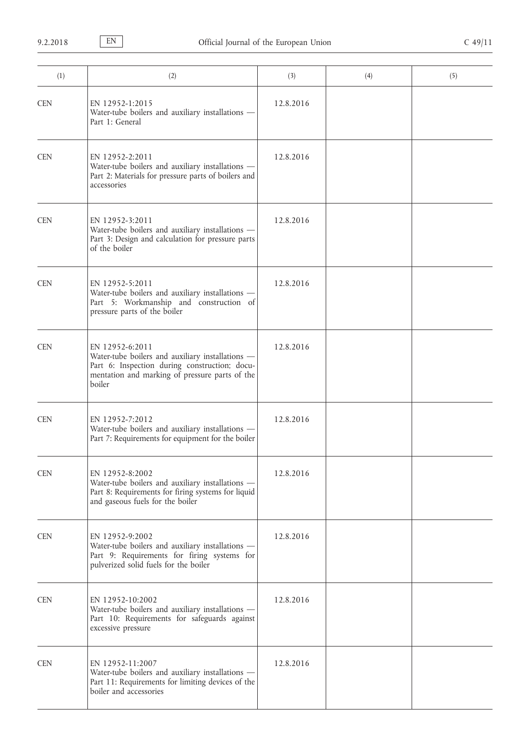| (1)        | (2)                                                                                                                                                                              | (3)       | (4) | (5) |
|------------|----------------------------------------------------------------------------------------------------------------------------------------------------------------------------------|-----------|-----|-----|
| <b>CEN</b> | EN 12952-1:2015<br>Water-tube boilers and auxiliary installations -<br>Part 1: General                                                                                           | 12.8.2016 |     |     |
| <b>CEN</b> | EN 12952-2:2011<br>Water-tube boilers and auxiliary installations -<br>Part 2: Materials for pressure parts of boilers and<br>accessories                                        | 12.8.2016 |     |     |
| <b>CEN</b> | EN 12952-3:2011<br>Water-tube boilers and auxiliary installations -<br>Part 3: Design and calculation for pressure parts<br>of the boiler                                        | 12.8.2016 |     |     |
| <b>CEN</b> | EN 12952-5:2011<br>Water-tube boilers and auxiliary installations -<br>Part 5: Workmanship and construction of<br>pressure parts of the boiler                                   | 12.8.2016 |     |     |
| <b>CEN</b> | EN 12952-6:2011<br>Water-tube boilers and auxiliary installations -<br>Part 6: Inspection during construction; docu-<br>mentation and marking of pressure parts of the<br>boiler | 12.8.2016 |     |     |
| <b>CEN</b> | EN 12952-7:2012<br>Water-tube boilers and auxiliary installations -<br>Part 7: Requirements for equipment for the boiler                                                         | 12.8.2016 |     |     |
| <b>CEN</b> | EN 12952-8:2002<br>Water-tube boilers and auxiliary installations -<br>Part 8: Requirements for firing systems for liquid<br>and gaseous fuels for the boiler                    | 12.8.2016 |     |     |
| <b>CEN</b> | EN 12952-9:2002<br>Water-tube boilers and auxiliary installations -<br>Part 9: Requirements for firing systems for<br>pulverized solid fuels for the boiler                      | 12.8.2016 |     |     |
| <b>CEN</b> | EN 12952-10:2002<br>Water-tube boilers and auxiliary installations -<br>Part 10: Requirements for safeguards against<br>excessive pressure                                       | 12.8.2016 |     |     |
| <b>CEN</b> | EN 12952-11:2007<br>Water-tube boilers and auxiliary installations -<br>Part 11: Requirements for limiting devices of the<br>boiler and accessories                              | 12.8.2016 |     |     |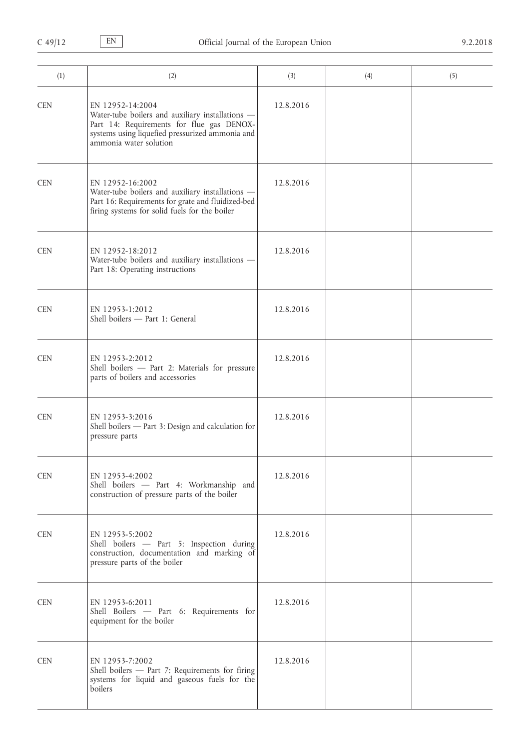| (1)        | (2)                                                                                                                                                                                            | (3)       | (4) | (5) |
|------------|------------------------------------------------------------------------------------------------------------------------------------------------------------------------------------------------|-----------|-----|-----|
| <b>CEN</b> | EN 12952-14:2004<br>Water-tube boilers and auxiliary installations -<br>Part 14: Requirements for flue gas DENOX-<br>systems using liquefied pressurized ammonia and<br>ammonia water solution | 12.8.2016 |     |     |
| <b>CEN</b> | EN 12952-16:2002<br>Water-tube boilers and auxiliary installations -<br>Part 16: Requirements for grate and fluidized-bed<br>firing systems for solid fuels for the boiler                     | 12.8.2016 |     |     |
| <b>CEN</b> | EN 12952-18:2012<br>Water-tube boilers and auxiliary installations -<br>Part 18: Operating instructions                                                                                        | 12.8.2016 |     |     |
| <b>CEN</b> | EN 12953-1:2012<br>Shell boilers - Part 1: General                                                                                                                                             | 12.8.2016 |     |     |
| <b>CEN</b> | EN 12953-2:2012<br>Shell boilers - Part 2: Materials for pressure<br>parts of boilers and accessories                                                                                          | 12.8.2016 |     |     |
| <b>CEN</b> | EN 12953-3:2016<br>Shell boilers - Part 3: Design and calculation for<br>pressure parts                                                                                                        | 12.8.2016 |     |     |
| <b>CEN</b> | EN 12953-4:2002<br>Shell boilers - Part 4: Workmanship and<br>construction of pressure parts of the boiler                                                                                     | 12.8.2016 |     |     |
| <b>CEN</b> | EN 12953-5:2002<br>Shell boilers - Part 5: Inspection during<br>construction, documentation and marking of<br>pressure parts of the boiler                                                     | 12.8.2016 |     |     |
| <b>CEN</b> | EN 12953-6:2011<br>Shell Boilers - Part 6: Requirements for<br>equipment for the boiler                                                                                                        | 12.8.2016 |     |     |
| <b>CEN</b> | EN 12953-7:2002<br>Shell boilers - Part 7: Requirements for firing<br>systems for liquid and gaseous fuels for the<br>boilers                                                                  | 12.8.2016 |     |     |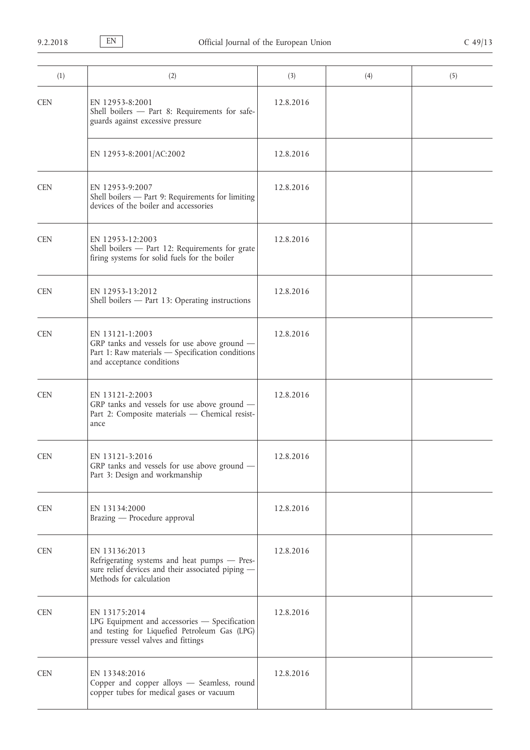| (1)        | (2)                                                                                                                                                    | (3)       | (4) | (5) |
|------------|--------------------------------------------------------------------------------------------------------------------------------------------------------|-----------|-----|-----|
| <b>CEN</b> | EN 12953-8:2001<br>Shell boilers - Part 8: Requirements for safe-<br>guards against excessive pressure                                                 | 12.8.2016 |     |     |
|            | EN 12953-8:2001/AC:2002                                                                                                                                | 12.8.2016 |     |     |
| <b>CEN</b> | EN 12953-9:2007<br>Shell boilers - Part 9: Requirements for limiting<br>devices of the boiler and accessories                                          | 12.8.2016 |     |     |
| <b>CEN</b> | EN 12953-12:2003<br>Shell boilers - Part 12: Requirements for grate<br>firing systems for solid fuels for the boiler                                   | 12.8.2016 |     |     |
| <b>CEN</b> | EN 12953-13:2012<br>Shell boilers - Part 13: Operating instructions                                                                                    | 12.8.2016 |     |     |
| <b>CEN</b> | EN 13121-1:2003<br>GRP tanks and vessels for use above ground -<br>Part 1: Raw materials - Specification conditions<br>and acceptance conditions       | 12.8.2016 |     |     |
| <b>CEN</b> | EN 13121-2:2003<br>GRP tanks and vessels for use above ground -<br>Part 2: Composite materials - Chemical resist-<br>ance                              | 12.8.2016 |     |     |
| <b>CEN</b> | EN 13121-3:2016<br>GRP tanks and vessels for use above ground -<br>Part 3: Design and workmanship                                                      | 12.8.2016 |     |     |
| <b>CEN</b> | EN 13134:2000<br>Brazing — Procedure approval                                                                                                          | 12.8.2016 |     |     |
| <b>CEN</b> | EN 13136:2013<br>Refrigerating systems and heat pumps - Pres-<br>sure relief devices and their associated piping -<br>Methods for calculation          | 12.8.2016 |     |     |
| <b>CEN</b> | EN 13175:2014<br>LPG Equipment and accessories - Specification<br>and testing for Liquefied Petroleum Gas (LPG)<br>pressure vessel valves and fittings | 12.8.2016 |     |     |
| <b>CEN</b> | EN 13348:2016<br>Copper and copper alloys - Seamless, round<br>copper tubes for medical gases or vacuum                                                | 12.8.2016 |     |     |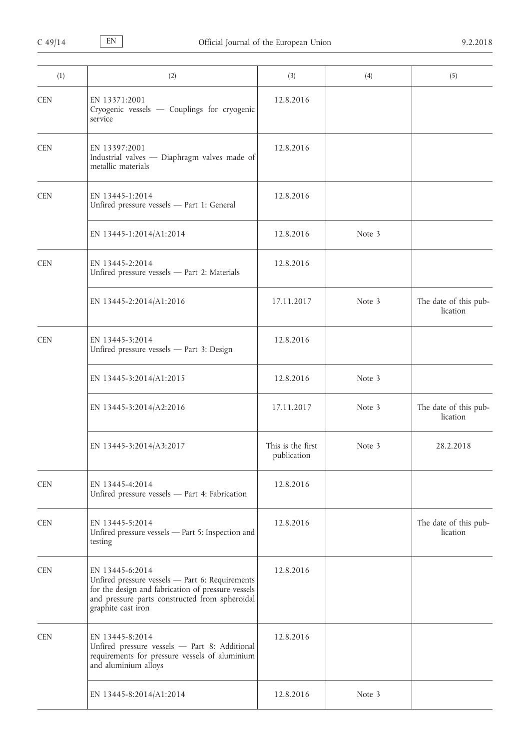| (1)        | (2)                                                                                                                                                                                              | (3)                              | (4)    | (5)                               |
|------------|--------------------------------------------------------------------------------------------------------------------------------------------------------------------------------------------------|----------------------------------|--------|-----------------------------------|
| <b>CEN</b> | EN 13371:2001<br>Cryogenic vessels - Couplings for cryogenic<br>service                                                                                                                          | 12.8.2016                        |        |                                   |
| <b>CEN</b> | EN 13397:2001<br>Industrial valves - Diaphragm valves made of<br>metallic materials                                                                                                              | 12.8.2016                        |        |                                   |
| <b>CEN</b> | EN 13445-1:2014<br>Unfired pressure vessels - Part 1: General                                                                                                                                    | 12.8.2016                        |        |                                   |
|            | EN 13445-1:2014/A1:2014                                                                                                                                                                          | 12.8.2016                        | Note 3 |                                   |
| <b>CEN</b> | EN 13445-2:2014<br>Unfired pressure vessels - Part 2: Materials                                                                                                                                  | 12.8.2016                        |        |                                   |
|            | EN 13445-2:2014/A1:2016                                                                                                                                                                          | 17.11.2017                       | Note 3 | The date of this pub-<br>lication |
| <b>CEN</b> | EN 13445-3:2014<br>Unfired pressure vessels - Part 3: Design                                                                                                                                     | 12.8.2016                        |        |                                   |
|            | EN 13445-3:2014/A1:2015                                                                                                                                                                          | 12.8.2016                        | Note 3 |                                   |
|            | EN 13445-3:2014/A2:2016                                                                                                                                                                          | 17.11.2017                       | Note 3 | The date of this pub-<br>lication |
|            | EN 13445-3:2014/A3:2017                                                                                                                                                                          | This is the first<br>publication | Note 3 | 28.2.2018                         |
| <b>CEN</b> | EN 13445-4:2014<br>Unfired pressure vessels - Part 4: Fabrication                                                                                                                                | 12.8.2016                        |        |                                   |
| <b>CEN</b> | EN 13445-5:2014<br>Unfired pressure vessels - Part 5: Inspection and<br>testing                                                                                                                  | 12.8.2016                        |        | The date of this pub-<br>lication |
| <b>CEN</b> | EN 13445-6:2014<br>Unfired pressure vessels - Part 6: Requirements<br>for the design and fabrication of pressure vessels<br>and pressure parts constructed from spheroidal<br>graphite cast iron | 12.8.2016                        |        |                                   |
| <b>CEN</b> | EN 13445-8:2014<br>Unfired pressure vessels - Part 8: Additional<br>requirements for pressure vessels of aluminium<br>and aluminium alloys                                                       | 12.8.2016                        |        |                                   |
|            | EN 13445-8:2014/A1:2014                                                                                                                                                                          | 12.8.2016                        | Note 3 |                                   |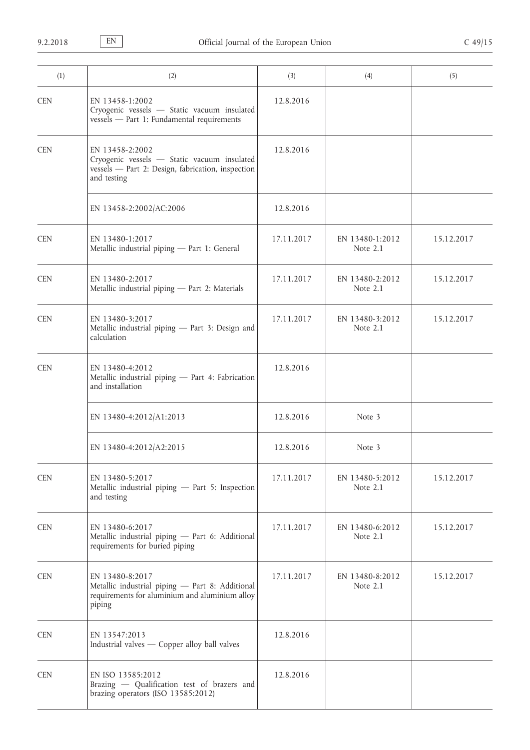| (1)        | (2)                                                                                                                                | (3)        | (4)                         | (5)        |
|------------|------------------------------------------------------------------------------------------------------------------------------------|------------|-----------------------------|------------|
| <b>CEN</b> | EN 13458-1:2002<br>Cryogenic vessels - Static vacuum insulated<br>vessels - Part 1: Fundamental requirements                       | 12.8.2016  |                             |            |
| <b>CEN</b> | EN 13458-2:2002<br>Cryogenic vessels - Static vacuum insulated<br>vessels - Part 2: Design, fabrication, inspection<br>and testing | 12.8.2016  |                             |            |
|            | EN 13458-2:2002/AC:2006                                                                                                            | 12.8.2016  |                             |            |
| <b>CEN</b> | EN 13480-1:2017<br>Metallic industrial piping - Part 1: General                                                                    | 17.11.2017 | EN 13480-1:2012<br>Note 2.1 | 15.12.2017 |
| <b>CEN</b> | EN 13480-2:2017<br>Metallic industrial piping - Part 2: Materials                                                                  | 17.11.2017 | EN 13480-2:2012<br>Note 2.1 | 15.12.2017 |
| <b>CEN</b> | EN 13480-3:2017<br>Metallic industrial piping - Part 3: Design and<br>calculation                                                  | 17.11.2017 | EN 13480-3:2012<br>Note 2.1 | 15.12.2017 |
| <b>CEN</b> | EN 13480-4:2012<br>Metallic industrial piping - Part 4: Fabrication<br>and installation                                            | 12.8.2016  |                             |            |
|            | EN 13480-4:2012/A1:2013                                                                                                            | 12.8.2016  | Note 3                      |            |
|            | EN 13480-4:2012/A2:2015                                                                                                            | 12.8.2016  | Note 3                      |            |
| <b>CEN</b> | EN 13480-5:2017<br>Metallic industrial piping - Part 5: Inspection<br>and testing                                                  | 17.11.2017 | EN 13480-5:2012<br>Note 2.1 | 15.12.2017 |
| <b>CEN</b> | EN 13480-6:2017<br>Metallic industrial piping - Part 6: Additional<br>requirements for buried piping                               | 17.11.2017 | EN 13480-6:2012<br>Note 2.1 | 15.12.2017 |
| <b>CEN</b> | EN 13480-8:2017<br>Metallic industrial piping - Part 8: Additional<br>requirements for aluminium and aluminium alloy<br>piping     | 17.11.2017 | EN 13480-8:2012<br>Note 2.1 | 15.12.2017 |
| <b>CEN</b> | EN 13547:2013<br>Industrial valves - Copper alloy ball valves                                                                      | 12.8.2016  |                             |            |
| <b>CEN</b> | EN ISO 13585:2012<br>Brazing - Qualification test of brazers and<br>brazing operators (ISO 13585:2012)                             | 12.8.2016  |                             |            |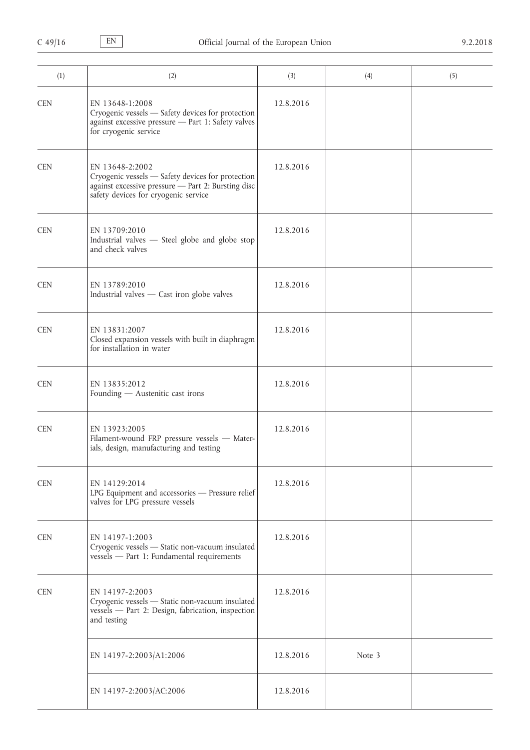| (1)        | (2)                                                                                                                                                                | (3)       | (4)    | (5) |
|------------|--------------------------------------------------------------------------------------------------------------------------------------------------------------------|-----------|--------|-----|
| <b>CEN</b> | EN 13648-1:2008<br>Cryogenic vessels - Safety devices for protection<br>against excessive pressure - Part 1: Safety valves<br>for cryogenic service                | 12.8.2016 |        |     |
| <b>CEN</b> | EN 13648-2:2002<br>Cryogenic vessels - Safety devices for protection<br>against excessive pressure - Part 2: Bursting disc<br>safety devices for cryogenic service | 12.8.2016 |        |     |
| <b>CEN</b> | EN 13709:2010<br>Industrial valves - Steel globe and globe stop<br>and check valves                                                                                | 12.8.2016 |        |     |
| <b>CEN</b> | EN 13789:2010<br>Industrial valves - Cast iron globe valves                                                                                                        | 12.8.2016 |        |     |
| <b>CEN</b> | EN 13831:2007<br>Closed expansion vessels with built in diaphragm<br>for installation in water                                                                     | 12.8.2016 |        |     |
| <b>CEN</b> | EN 13835:2012<br>Founding - Austenitic cast irons                                                                                                                  | 12.8.2016 |        |     |
| <b>CEN</b> | EN 13923:2005<br>Filament-wound FRP pressure vessels - Mater-<br>ials, design, manufacturing and testing                                                           | 12.8.2016 |        |     |
| <b>CEN</b> | EN 14129:2014<br>LPG Equipment and accessories - Pressure relief<br>valves for LPG pressure vessels                                                                | 12.8.2016 |        |     |
| <b>CEN</b> | EN 14197-1:2003<br>Cryogenic vessels - Static non-vacuum insulated<br>vessels - Part 1: Fundamental requirements                                                   | 12.8.2016 |        |     |
| <b>CEN</b> | EN 14197-2:2003<br>Cryogenic vessels - Static non-vacuum insulated<br>vessels - Part 2: Design, fabrication, inspection<br>and testing                             | 12.8.2016 |        |     |
|            | EN 14197-2:2003/A1:2006                                                                                                                                            | 12.8.2016 | Note 3 |     |
|            | EN 14197-2:2003/AC:2006                                                                                                                                            | 12.8.2016 |        |     |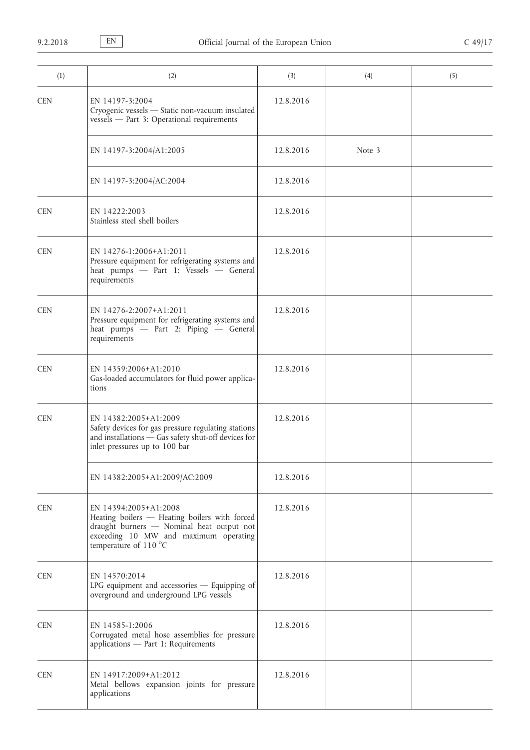| (1)        | (2)                                                                                                                                                                                   | (3)       | (4)    | (5) |
|------------|---------------------------------------------------------------------------------------------------------------------------------------------------------------------------------------|-----------|--------|-----|
| <b>CEN</b> | EN 14197-3:2004<br>Cryogenic vessels - Static non-vacuum insulated<br>vessels - Part 3: Operational requirements                                                                      | 12.8.2016 |        |     |
|            | EN 14197-3:2004/A1:2005                                                                                                                                                               | 12.8.2016 | Note 3 |     |
|            | EN 14197-3:2004/AC:2004                                                                                                                                                               | 12.8.2016 |        |     |
| <b>CEN</b> | EN 14222:2003<br>Stainless steel shell boilers                                                                                                                                        | 12.8.2016 |        |     |
| <b>CEN</b> | EN 14276-1:2006+A1:2011<br>Pressure equipment for refrigerating systems and<br>heat pumps - Part 1: Vessels - General<br>requirements                                                 | 12.8.2016 |        |     |
| <b>CEN</b> | EN 14276-2:2007+A1:2011<br>Pressure equipment for refrigerating systems and<br>heat pumps - Part 2: Piping - General<br>requirements                                                  | 12.8.2016 |        |     |
| <b>CEN</b> | EN 14359:2006+A1:2010<br>Gas-loaded accumulators for fluid power applica-<br>tions                                                                                                    | 12.8.2016 |        |     |
| <b>CEN</b> | EN 14382:2005+A1:2009<br>Safety devices for gas pressure regulating stations<br>and installations - Gas safety shut-off devices for<br>inlet pressures up to 100 bar                  | 12.8.2016 |        |     |
|            | EN 14382:2005+A1:2009/AC:2009                                                                                                                                                         | 12.8.2016 |        |     |
| <b>CEN</b> | EN 14394:2005+A1:2008<br>Heating boilers - Heating boilers with forced<br>draught burners - Nominal heat output not<br>exceeding 10 MW and maximum operating<br>temperature of 110 °C | 12.8.2016 |        |     |
| <b>CEN</b> | EN 14570:2014<br>LPG equipment and accessories - Equipping of<br>overground and underground LPG vessels                                                                               | 12.8.2016 |        |     |
| <b>CEN</b> | EN 14585-1:2006<br>Corrugated metal hose assemblies for pressure<br>applications - Part 1: Requirements                                                                               | 12.8.2016 |        |     |
| <b>CEN</b> | EN 14917:2009+A1:2012<br>Metal bellows expansion joints for pressure<br>applications                                                                                                  | 12.8.2016 |        |     |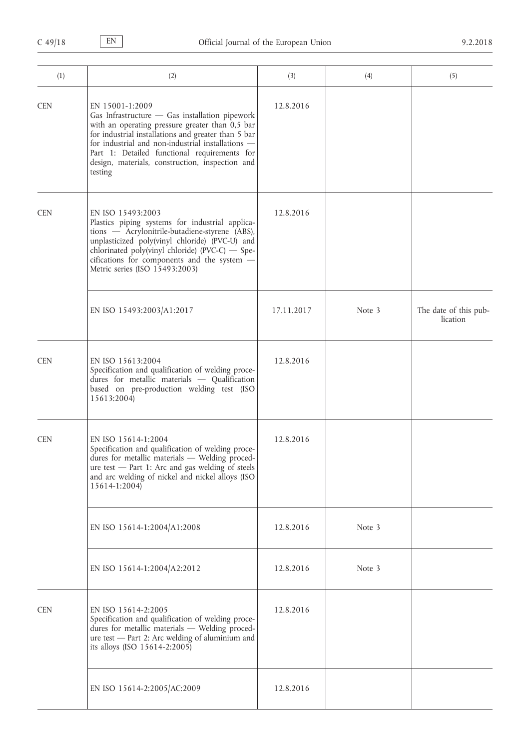| (1)        | (2)                                                                                                                                                                                                                                                                                                                                            | (3)        | (4)    | (5)                               |
|------------|------------------------------------------------------------------------------------------------------------------------------------------------------------------------------------------------------------------------------------------------------------------------------------------------------------------------------------------------|------------|--------|-----------------------------------|
| <b>CEN</b> | EN 15001-1:2009<br>Gas Infrastructure - Gas installation pipework<br>with an operating pressure greater than 0,5 bar<br>for industrial installations and greater than 5 bar<br>for industrial and non-industrial installations -<br>Part 1: Detailed functional requirements for<br>design, materials, construction, inspection and<br>testing | 12.8.2016  |        |                                   |
| <b>CEN</b> | EN ISO 15493:2003<br>Plastics piping systems for industrial applica-<br>tions - Acrylonitrile-butadiene-styrene (ABS),<br>unplasticized poly(vinyl chloride) (PVC-U) and<br>chlorinated poly(vinyl chloride) (PVC-C) - Spe-<br>cifications for components and the system -<br>Metric series (ISO 15493:2003)                                   | 12.8.2016  |        |                                   |
|            | EN ISO 15493:2003/A1:2017                                                                                                                                                                                                                                                                                                                      | 17.11.2017 | Note 3 | The date of this pub-<br>lication |
| <b>CEN</b> | EN ISO 15613:2004<br>Specification and qualification of welding proce-<br>dures for metallic materials $-$ Qualification<br>based on pre-production welding test (ISO<br>15613:2004)                                                                                                                                                           | 12.8.2016  |        |                                   |
| <b>CEN</b> | EN ISO 15614-1:2004<br>Specification and qualification of welding proce-<br>dures for metallic materials - Welding proced-<br>ure test - Part 1: Arc and gas welding of steels<br>and arc welding of nickel and nickel alloys (ISO<br>15614-1:2004)                                                                                            | 12.8.2016  |        |                                   |
|            | EN ISO 15614-1:2004/A1:2008                                                                                                                                                                                                                                                                                                                    | 12.8.2016  | Note 3 |                                   |
|            | EN ISO 15614-1:2004/A2:2012                                                                                                                                                                                                                                                                                                                    | 12.8.2016  | Note 3 |                                   |
| <b>CEN</b> | EN ISO 15614-2:2005<br>Specification and qualification of welding proce-<br>dures for metallic materials - Welding proced-<br>ure test - Part 2: Arc welding of aluminium and<br>its alloys (ISO 15614-2:2005)                                                                                                                                 | 12.8.2016  |        |                                   |
|            | EN ISO 15614-2:2005/AC:2009                                                                                                                                                                                                                                                                                                                    | 12.8.2016  |        |                                   |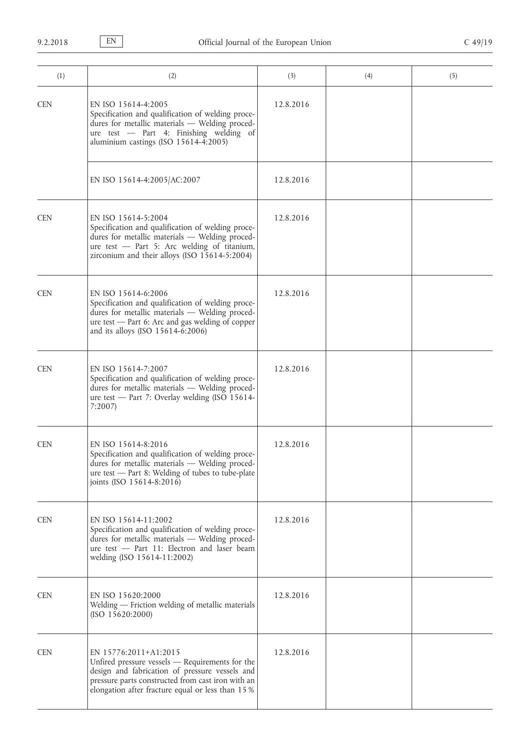| (1)        | (2)                                                                                                                                                                                                                                  | (3)       | (4) | (5) |
|------------|--------------------------------------------------------------------------------------------------------------------------------------------------------------------------------------------------------------------------------------|-----------|-----|-----|
| <b>CEN</b> | EN ISO 15614-4:2005<br>Specification and qualification of welding proce-<br>dures for metallic materials - Welding proced-<br>ure test - Part 4: Finishing welding of<br>aluminium castings (ISO 15614-4:2005)                       | 12.8.2016 |     |     |
|            | EN ISO 15614-4:2005/AC:2007                                                                                                                                                                                                          | 12.8.2016 |     |     |
| <b>CEN</b> | EN ISO 15614-5:2004<br>Specification and qualification of welding proce-<br>dures for metallic materials - Welding proced-<br>ure test - Part 5: Arc welding of titanium,<br>zirconium and their alloys (ISO 15614-5:2004)           | 12.8.2016 |     |     |
| <b>CEN</b> | EN ISO 15614-6:2006<br>Specification and qualification of welding proce-<br>dures for metallic materials - Welding proced-<br>ure test — Part 6: Arc and gas welding of copper<br>and its alloys (ISO 15614-6:2006)                  | 12.8.2016 |     |     |
| <b>CEN</b> | EN ISO 15614-7:2007<br>Specification and qualification of welding proce-<br>dures for metallic materials - Welding proced-<br>ure test - Part 7: Overlay welding (ISO 15614-<br>7:2007                                               | 12.8.2016 |     |     |
| <b>CEN</b> | EN ISO 15614-8:2016<br>Specification and qualification of welding proce-<br>dures for metallic materials - Welding proced-<br>$ure test$ – Part 8: Welding of tubes to tube-plate<br>joints (ISO 15614-8:2016)                       | 12.8.2016 |     |     |
| <b>CEN</b> | EN ISO 15614-11:2002<br>Specification and qualification of welding proce-<br>dures for metallic materials - Welding proced-<br>ure test - Part 11: Electron and laser beam<br>welding (ISO 15614-11:2002)                            | 12.8.2016 |     |     |
| <b>CEN</b> | EN ISO 15620:2000<br>Welding — Friction welding of metallic materials<br>(ISO 15620:2000)                                                                                                                                            | 12.8.2016 |     |     |
| <b>CEN</b> | EN 15776:2011+A1:2015<br>Unfired pressure vessels - Requirements for the<br>design and fabrication of pressure vessels and<br>pressure parts constructed from cast iron with an<br>elongation after fracture equal or less than 15 % | 12.8.2016 |     |     |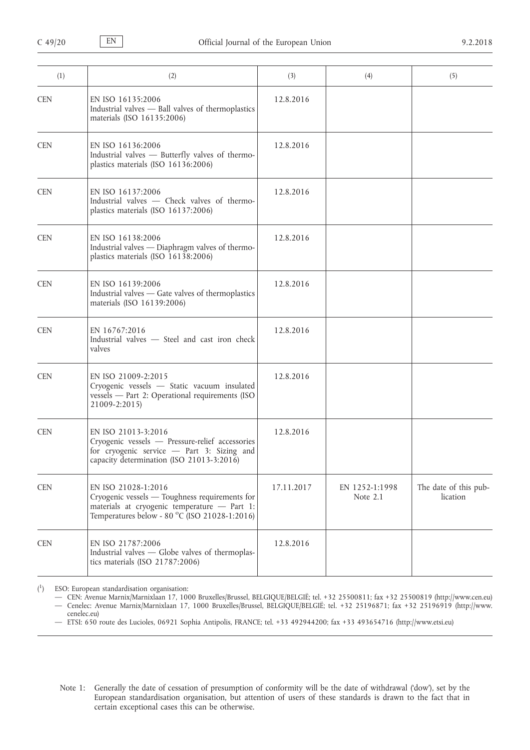| (1)        | (2)                                                                                                                                                                    | (3)        | (4)                        | (5)                               |
|------------|------------------------------------------------------------------------------------------------------------------------------------------------------------------------|------------|----------------------------|-----------------------------------|
| <b>CEN</b> | EN ISO 16135:2006<br>Industrial valves - Ball valves of thermoplastics<br>materials (ISO 16135:2006)                                                                   | 12.8.2016  |                            |                                   |
| <b>CEN</b> | EN ISO 16136:2006<br>Industrial valves - Butterfly valves of thermo-<br>plastics materials (ISO 16136:2006)                                                            | 12.8.2016  |                            |                                   |
| <b>CEN</b> | EN ISO 16137:2006<br>Industrial valves - Check valves of thermo-<br>plastics materials (ISO 16137:2006)                                                                | 12.8.2016  |                            |                                   |
| <b>CEN</b> | EN ISO 16138:2006<br>Industrial valves - Diaphragm valves of thermo-<br>plastics materials (ISO 16138:2006)                                                            | 12.8.2016  |                            |                                   |
| <b>CEN</b> | EN ISO 16139:2006<br>Industrial valves - Gate valves of thermoplastics<br>materials (ISO 16139:2006)                                                                   | 12.8.2016  |                            |                                   |
| <b>CEN</b> | EN 16767:2016<br>Industrial valves - Steel and cast iron check<br>valves                                                                                               | 12.8.2016  |                            |                                   |
| <b>CEN</b> | EN ISO 21009-2:2015<br>Cryogenic vessels - Static vacuum insulated<br>vessels - Part 2: Operational requirements (ISO<br>21009-2:2015)                                 | 12.8.2016  |                            |                                   |
| <b>CEN</b> | EN ISO 21013-3:2016<br>Cryogenic vessels - Pressure-relief accessories<br>for cryogenic service - Part 3: Sizing and<br>capacity determination (ISO 21013-3:2016)      | 12.8.2016  |                            |                                   |
| <b>CEN</b> | EN ISO 21028-1:2016<br>Cryogenic vessels - Toughness requirements for<br>materials at cryogenic temperature - Part 1:<br>Temperatures below - 80 °C (ISO 21028-1:2016) | 17.11.2017 | EN 1252-1:1998<br>Note 2.1 | The date of this pub-<br>lication |
| <b>CEN</b> | EN ISO 21787:2006<br>Industrial valves — Globe valves of thermoplas-<br>tics materials (ISO 21787:2006)                                                                | 12.8.2016  |                            |                                   |

 $\binom{1}{1}$ ) ESO: European standardisation organisation:

— CEN: Avenue Marnix/Marnixlaan 17, 1000 Bruxelles/Brussel, BELGIQUE/BELGIË; tel. +32 25500811; fax +32 25500819 [\(http://www.cen.eu\)](http://www.cen.eu) — Cenelec: Avenue Marnix/Marnixlaan 17, 1000 Bruxelles/Brussel, BELGIQUE/BELGIË; tel. +32 25196871; fax +32 25196919 ([http://www.](http://www.cenelec.eu) [cenelec.eu\)](http://www.cenelec.eu)

— ETSI: 650 route des Lucioles, 06921 Sophia Antipolis, FRANCE; tel. +33 492944200; fax +33 493654716 [\(http://www.etsi.eu\)](http://www.etsi.eu)

Note 1: Generally the date of cessation of presumption of conformity will be the date of withdrawal ('dow'), set by the European standardisation organisation, but attention of users of these standards is drawn to the fact that in certain exceptional cases this can be otherwise.